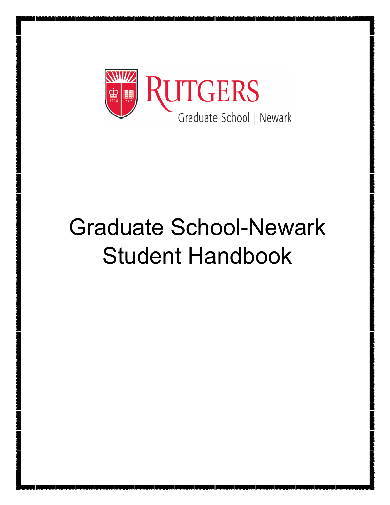

# Graduate School-Newark Student Handbook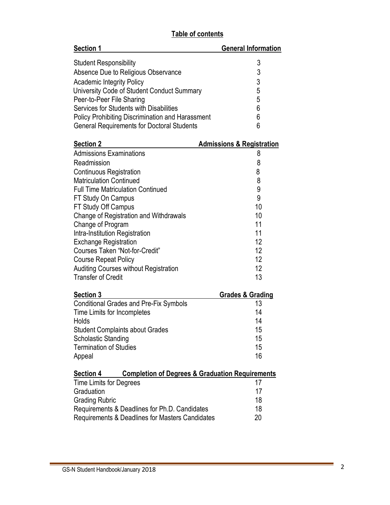## **Table of contents**

| <b>Section 1</b>                                        | <b>General Information</b> |
|---------------------------------------------------------|----------------------------|
| <b>Student Responsibility</b>                           | 3                          |
| Absence Due to Religious Observance                     | 3                          |
| <b>Academic Integrity Policy</b>                        | 3                          |
| University Code of Student Conduct Summary              | 5                          |
| Peer-to-Peer File Sharing                               | 5                          |
| Services for Students with Disabilities                 | 6                          |
| <b>Policy Prohibiting Discrimination and Harassment</b> | 6                          |
| <b>General Requirements for Doctoral Students</b>       | 6                          |

| <b>Section 2</b>                             | <b>Admissions &amp; Registration</b> |
|----------------------------------------------|--------------------------------------|
| <b>Admissions Examinations</b>               | 8                                    |
| Readmission                                  | 8                                    |
| <b>Continuous Registration</b>               | 8                                    |
| <b>Matriculation Continued</b>               | 8                                    |
| <b>Full Time Matriculation Continued</b>     | 9                                    |
| FT Study On Campus                           | 9                                    |
| FT Study Off Campus                          | 10                                   |
| Change of Registration and Withdrawals       | 10                                   |
| Change of Program                            | 11                                   |
| Intra-Institution Registration               | 11                                   |
| <b>Exchange Registration</b>                 | 12                                   |
| Courses Taken "Not-for-Credit"               | 12                                   |
| <b>Course Repeat Policy</b>                  | 12                                   |
| <b>Auditing Courses without Registration</b> | 12                                   |
| <b>Transfer of Credit</b>                    | 13                                   |
|                                              |                                      |

| <b>Section 3</b>                              | <b>Grades &amp; Grading</b> |
|-----------------------------------------------|-----------------------------|
| <b>Conditional Grades and Pre-Fix Symbols</b> | 13                          |
| Time Limits for Incompletes                   | 14                          |
| Holds                                         | 14                          |
| <b>Student Complaints about Grades</b>        | 15                          |
| <b>Scholastic Standing</b>                    | 15                          |
| <b>Termination of Studies</b>                 | 15                          |
| Appeal                                        | 16                          |

#### **Section 4 Completion of Degrees & Graduation Requirements**

| <b>Time Limits for Degrees</b>                  | -17 |
|-------------------------------------------------|-----|
| Graduation                                      | 17  |
| <b>Grading Rubric</b>                           | 18  |
| Requirements & Deadlines for Ph.D. Candidates   | 18  |
| Requirements & Deadlines for Masters Candidates | 20  |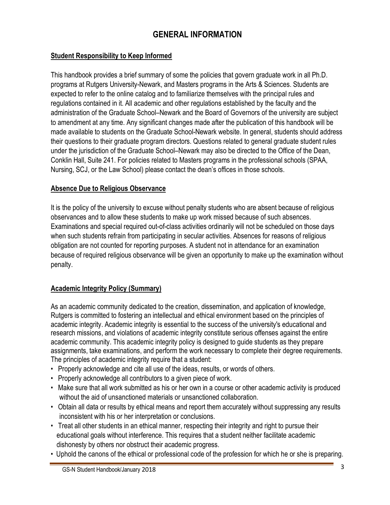# **GENERAL INFORMATION**

#### **Student Responsibility to Keep Informed**

This handbook provides a brief summary of some the policies that govern graduate work in all Ph.D. programs at Rutgers University-Newark, and Masters programs in the Arts & Sciences. Students are expected to refer to the online catalog and to familiarize themselves with the principal rules and regulations contained in it. All academic and other regulations established by the faculty and the administration of the Graduate School–Newark and the Board of Governors of the university are subject to amendment at any time. Any significant changes made after the publication of this handbook will be made available to students on the Graduate School-Newark website. In general, students should address their questions to their graduate program directors. Questions related to general graduate student rules under the jurisdiction of the Graduate School–Newark may also be directed to the Office of the Dean, Conklin Hall, Suite 241. For policies related to Masters programs in the professional schools (SPAA, Nursing, SCJ, or the Law School) please contact the dean's offices in those schools.

#### **Absence Due to Religious Observance**

It is the policy of the university to excuse without penalty students who are absent because of religious observances and to allow these students to make up work missed because of such absences. Examinations and special required out-of-class activities ordinarily will not be scheduled on those days when such students refrain from participating in secular activities. Absences for reasons of religious obligation are not counted for reporting purposes. A student not in attendance for an examination because of required religious observance will be given an opportunity to make up the examination without penalty.

### **Academic Integrity Policy (Summary)**

As an academic community dedicated to the creation, dissemination, and application of knowledge, Rutgers is committed to fostering an intellectual and ethical environment based on the principles of academic integrity. Academic integrity is essential to the success of the university's educational and research missions, and violations of academic integrity constitute serious offenses against the entire academic community. This academic integrity policy is designed to guide students as they prepare assignments, take examinations, and perform the work necessary to complete their degree requirements. The principles of academic integrity require that a student:

- Properly acknowledge and cite all use of the ideas, results, or words of others.
- Properly acknowledge all contributors to a given piece of work.
- Make sure that all work submitted as his or her own in a course or other academic activity is produced without the aid of unsanctioned materials or unsanctioned collaboration.
- Obtain all data or results by ethical means and report them accurately without suppressing any results inconsistent with his or her interpretation or conclusions.
- Treat all other students in an ethical manner, respecting their integrity and right to pursue their educational goals without interference. This requires that a student neither facilitate academic dishonesty by others nor obstruct their academic progress.
- Uphold the canons of the ethical or professional code of the profession for which he or she is preparing.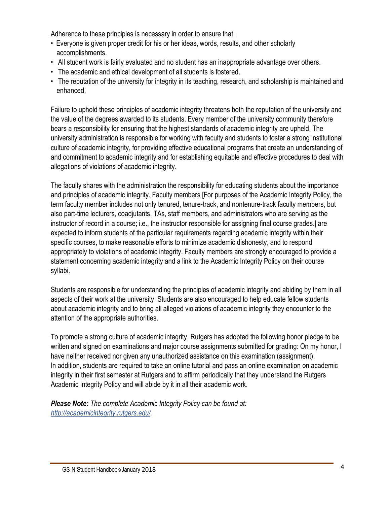Adherence to these principles is necessary in order to ensure that:

- Everyone is given proper credit for his or her ideas, words, results, and other scholarly accomplishments.
- All student work is fairly evaluated and no student has an inappropriate advantage over others.
- The academic and ethical development of all students is fostered.
- The reputation of the university for integrity in its teaching, research, and scholarship is maintained and enhanced.

Failure to uphold these principles of academic integrity threatens both the reputation of the university and the value of the degrees awarded to its students. Every member of the university community therefore bears a responsibility for ensuring that the highest standards of academic integrity are upheld. The university administration is responsible for working with faculty and students to foster a strong institutional culture of academic integrity, for providing effective educational programs that create an understanding of and commitment to academic integrity and for establishing equitable and effective procedures to deal with allegations of violations of academic integrity.

The faculty shares with the administration the responsibility for educating students about the importance and principles of academic integrity. Faculty members [For purposes of the Academic Integrity Policy, the term faculty member includes not only tenured, tenure-track, and nontenure-track faculty members, but also part-time lecturers, coadjutants, TAs, staff members, and administrators who are serving as the instructor of record in a course; i.e., the instructor responsible for assigning final course grades.] are expected to inform students of the particular requirements regarding academic integrity within their specific courses, to make reasonable efforts to minimize academic dishonesty, and to respond appropriately to violations of academic integrity. Faculty members are strongly encouraged to provide a statement concerning academic integrity and a link to the Academic Integrity Policy on their course syllabi.

Students are responsible for understanding the principles of academic integrity and abiding by them in all aspects of their work at the university. Students are also encouraged to help educate fellow students about academic integrity and to bring all alleged violations of academic integrity they encounter to the attention of the appropriate authorities.

To promote a strong culture of academic integrity, Rutgers has adopted the following honor pledge to be written and signed on examinations and major course assignments submitted for grading: On my honor, I have neither received nor given any unauthorized assistance on this examination (assignment). In addition, students are required to take an online tutorial and pass an online examination on academic integrity in their first semester at Rutgers and to affirm periodically that they understand the Rutgers Academic Integrity Policy and will abide by it in all their academic work.

*Please Note: The complete Academic Integrity Policy can be found at: [http://academicintegrity.rutgers.edu/.](http://academicintegrity.rutgers.edu/)*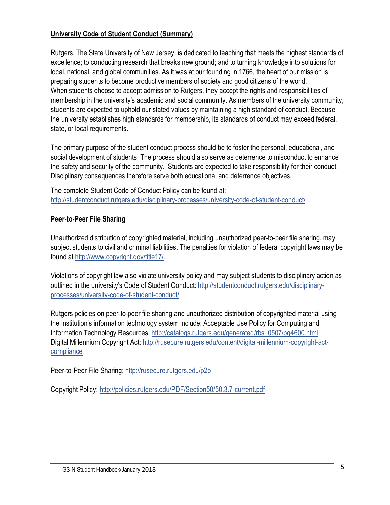### **University Code of Student Conduct (Summary)**

Rutgers, The State University of New Jersey, is dedicated to teaching that meets the highest standards of excellence; to conducting research that breaks new ground; and to turning knowledge into solutions for local, national, and global communities. As it was at our founding in 1766, the heart of our mission is preparing students to become productive members of society and good citizens of the world. When students choose to accept admission to Rutgers, they accept the rights and responsibilities of membership in the university's academic and social community. As members of the university community, students are expected to uphold our stated values by maintaining a high standard of conduct. Because the university establishes high standards for membership, its standards of conduct may exceed federal, state, or local requirements.

The primary purpose of the student conduct process should be to foster the personal, educational, and social development of students. The process should also serve as deterrence to misconduct to enhance the safety and security of the community. Students are expected to take responsibility for their conduct. Disciplinary consequences therefore serve both educational and deterrence objectives.

The complete Student Code of Conduct Policy can be found at: <http://studentconduct.rutgers.edu/disciplinary-processes/university-code-of-student-conduct/>

#### **Peer-to-Peer File Sharing**

Unauthorized distribution of copyrighted material, including unauthorized peer-to-peer file sharing, may subject students to civil and criminal liabilities. The penalties for violation of federal copyright laws may be found at [http://www.copyright.gov/title17/.](http://www.copyright.gov/title17/) 

Violations of copyright law also violate university policy and may subject students to disciplinary action as [outlined in the university's Code of Student Conduct: http://studentconduct.rutgers.edu/disciplinary](http://studentconduct.rutgers.edu/disciplinary-processes/GS-N)processes/university-code-of-student-conduct/

Rutgers policies on peer-to-peer file sharing and unauthorized distribution of copyrighted material using the institution's information technology system include: Acceptable Use Policy for Computing and Information Technology Resources: [http://catalogs.rutgers.edu/generated/rbs\\_0507/pg4600.html](http://catalogs.rutgers.edu/generated/rbs_0507/pg4600.html) [Digital Millennium Copyright Act: http://rusecure.rutgers.edu/content/digital-millennium-copyright-act](http://rusecure.rutgers.edu/content/digital-millennium-copyright-act-compliancePeer-to-Peer)compliance

[Peer-to-Peer Fil](http://rusecure.rutgers.edu/content/digital-millennium-copyright-act-compliancePeer-to-Peer)e Sharing: <http://rusecure.rutgers.edu/p2p>

Copyright Policy:<http://policies.rutgers.edu/PDF/Section50/50.3.7-current.pdf>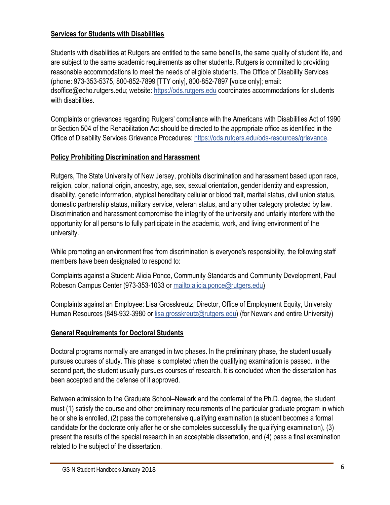#### **Services for Students with Disabilities**

Students with disabilities at Rutgers are entitled to the same benefits, the same quality of student life, and are subject to the same academic requirements as other students. Rutgers is committed to providing reasonable accommodations to meet the needs of eligible students. The Office of Disability Services (phone: 973-353-5375, 800-852-7899 [TTY only], 800-852-7897 [voice only]; email: [dsoffice@echo.rutgers.edu; we](mailto:dsoffice@echo.rutgers.edu)bsite: <https://ods.rutgers.edu> coordinates accommodations for students with disabilities.

Complaints or grievances regarding Rutgers' compliance with the Americans with Disabilities Act of 1990 or Section 504 of the Rehabilitation Act should be directed to the appropriate office as identified in the Office of Disability Services Grievance Procedures: [https://ods.rutgers.edu/ods-resources/grievance.](https://ods.rutgers.edu/ods-resources/grievance)

### **Policy Prohibiting Discrimination and Harassment**

Rutgers, The State University of New Jersey, prohibits discrimination and harassment based upon race, religion, color, national origin, ancestry, age, sex, sexual orientation, gender identity and expression, disability, genetic information, atypical hereditary cellular or blood trait, marital status, civil union status, domestic partnership status, military service, veteran status, and any other category protected by law. Discrimination and harassment compromise the integrity of the university and unfairly interfere with the opportunity for all persons to fully participate in the academic, work, and living environment of the university.

While promoting an environment free from discrimination is everyone's responsibility, the following staff members have been designated to respond to:

Complaints against a Student: Alicia Ponce, Community Standards and Community Development, Paul Robeson Campus Center (973-353-1033 or [mailto:alicia.ponce@rutgers.edu\)](mailto:alicia.ponce@rutgers.edu)

Complaints against an Employee: Lisa Grosskreutz, Director, Office of Employment Equity, University Human Resources [\(848-932-3980 or lisa.grosskreutz@rutgers.edu\) \(fo](mailto:848-932-3980orlisa.grosskreutz@rutgers.edu)r Newark and entire University)

## **General Requirements for Doctoral Students**

Doctoral programs normally are arranged in two phases. In the preliminary phase, the student usually pursues courses of study. This phase is completed when the qualifying examination is passed. In the second part, the student usually pursues courses of research. It is concluded when the dissertation has been accepted and the defense of it approved.

Between admission to the Graduate School–Newark and the conferral of the Ph.D. degree, the student must (1) satisfy the course and other preliminary requirements of the particular graduate program in which he or she is enrolled, (2) pass the comprehensive qualifying examination (a student becomes a formal candidate for the doctorate only after he or she completes successfully the qualifying examination), (3) present the results of the special research in an acceptable dissertation, and (4) pass a final examination related to the subject of the dissertation.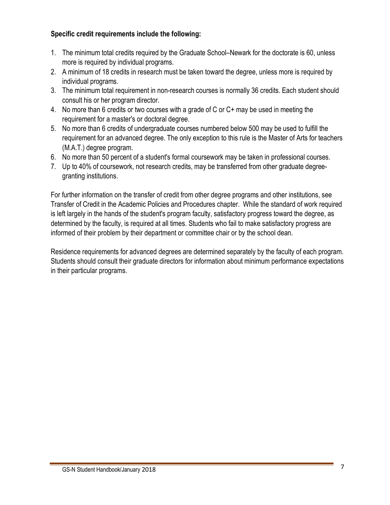#### **Specific credit requirements include the following:**

- 1. The minimum total credits required by the Graduate School–Newark for the doctorate is 60, unless more is required by individual programs.
- 2. A minimum of 18 credits in research must be taken toward the degree, unless more is required by individual programs.
- 3. The minimum total requirement in non-research courses is normally 36 credits. Each student should consult his or her program director.
- 4. No more than 6 credits or two courses with a grade of C or C+ may be used in meeting the requirement for a master's or doctoral degree.
- 5. No more than 6 credits of undergraduate courses numbered below 500 may be used to fulfill the requirement for an advanced degree. The only exception to this rule is the Master of Arts for teachers (M.A.T.) degree program.
- 6. No more than 50 percent of a student's formal coursework may be taken in professional courses.
- 7. Up to 40% of coursework, not research credits, may be transferred from other graduate degreegranting institutions.

For further information on the transfer of credit from other degree programs and other institutions, see Transfer of Credit in the Academic Policies and Procedures chapter. While the standard of work required is left largely in the hands of the student's program faculty, satisfactory progress toward the degree, as determined by the faculty, is required at all times. Students who fail to make satisfactory progress are informed of their problem by their department or committee chair or by the school dean.

Residence requirements for advanced degrees are determined separately by the faculty of each program. Students should consult their graduate directors for information about minimum performance expectations in their particular programs.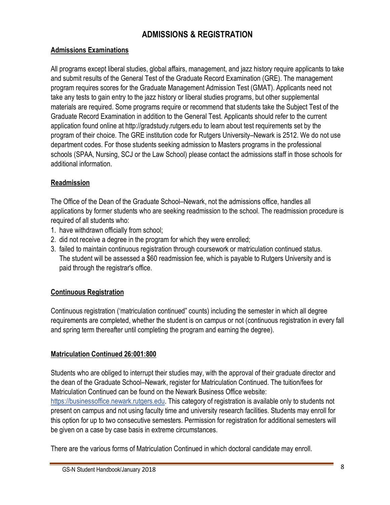# **ADMISSIONS & REGISTRATION**

#### **Admissions Examinations**

All programs except liberal studies, global affairs, management, and jazz history require applicants to take and submit results of the General Test of the Graduate Record Examination (GRE). The management program requires scores for the Graduate Management Admission Test (GMAT). Applicants need not take any tests to gain entry to the jazz history or liberal studies programs, but other supplemental materials are required. Some programs require or recommend that students take the Subject Test of the Graduate Record Examination in addition to the General Test. Applicants should refer to the current application found online at [http://gradstudy.rutgers.edu to](http://gradstudy.rutgers.edu) learn about test requirements set by the program of their choice. The GRE institution code for Rutgers University–Newark is 2512. We do not use department codes. For those students seeking admission to Masters programs in the professional schools (SPAA, Nursing, SCJ or the Law School) please contact the admissions staff in those schools for additional information.

#### **Readmission**

The Office of the Dean of the Graduate School–Newark, not the admissions office, handles all applications by former students who are seeking readmission to the school. The readmission procedure is required of all students who:

- 1. have withdrawn officially from school;
- 2. did not receive a degree in the program for which they were enrolled;
- 3. failed to maintain continuous registration through coursework or matriculation continued status. The student will be assessed a \$60 readmission fee, which is payable to Rutgers University and is paid through the registrar's office.

### **Continuous Registration**

Continuous registration ('matriculation continued" counts) including the semester in which all degree requirements are completed, whether the student is on campus or not (continuous registration in every fall and spring term thereafter until completing the program and earning the degree).

#### **Matriculation Continued 26:001:800**

Students who are obliged to interrupt their studies may, with the approval of their graduate director and the dean of the Graduate School–Newark, register for Matriculation Continued. The tuition/fees for Matriculation Continued can be found on the Newark Business Office website: [https://businessoffice.newark.rutgers.edu. Th](https://businessoffice.newark.rutgers.edu)is category of registration is available only to students not present on campus and not using faculty time and university research facilities. Students may enroll for this option for up to two consecutive semesters. Permission for registration for additional semesters will be given on a case by case basis in extreme circumstances.

There are the various forms of Matriculation Continued in which doctoral candidate may enroll.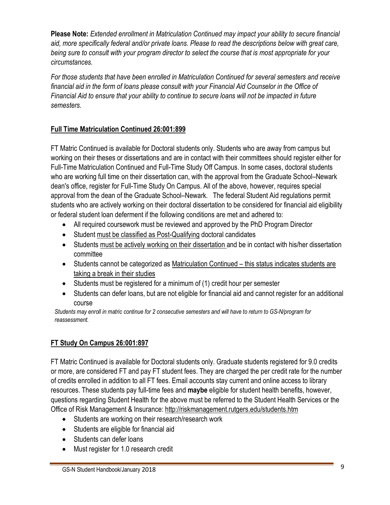**Please Note:** *Extended enrollment in Matriculation Continued may impact your ability to secure financial aid, more specifically federal and/or private loans. Please to read the descriptions below with great care, being sure to consult with your program director to select the course that is most appropriate for your circumstances.* 

*For those students that have been enrolled in Matriculation Continued for several semesters and receive financial aid in the form of loans please consult with your Financial Aid Counselor in the Office of Financial Aid to ensure that your ability to continue to secure loans will not be impacted in future semesters.*

## **Full Time Matriculation Continued 26:001:899**

FT Matric Continued is available for Doctoral students only. Students who are away from campus but working on their theses or dissertations and are in contact with their committees should register either for Full-Time Matriculation Continued and Full-Time Study Off Campus. In some cases, doctoral students who are working full time on their dissertation can, with the approval from the Graduate School–Newark dean's office, register for Full-Time Study On Campus. All of the above, however, requires special approval from the dean of the Graduate School–Newark. The federal Student Aid regulations permit students who are actively working on their doctoral dissertation to be considered for financial aid eligibility or federal student loan deferment if the following conditions are met and adhered to:

- All required coursework must be reviewed and approved by the PhD Program Director
- Student must be classified as Post-Qualifying doctoral candidates
- Students must be actively working on their dissertation and be in contact with his/her dissertation committee
- Students cannot be categorized as Matriculation Continued this status indicates students are taking a break in their studies
- Students must be registered for a minimum of (1) credit hour per semester
- Students can defer loans, but are not eligible for financial aid and cannot register for an additional course

*Students may enroll in matric continue for 2 consecutive semesters and will have to return to GS-N/program for reassessment.*

# **FT Study On Campus 26:001:897**

FT Matric Continued is available for Doctoral students only. Graduate students registered for 9.0 credits or more, are considered FT and pay FT student fees. They are charged the per credit rate for the number of credits enrolled in addition to all FT fees. Email accounts stay current and online access to library resources. These students pay full-time fees and **maybe** eligible for student health benefits, however, questions regarding Student Health for the above must be referred to the Student Health Services or the Office of Risk Management & Insurance:<http://riskmanagement.rutgers.edu/students.htm>

- Students are working on their research/research work
- Students are eligible for financial aid
- Students can defer loans
- Must register for 1.0 research credit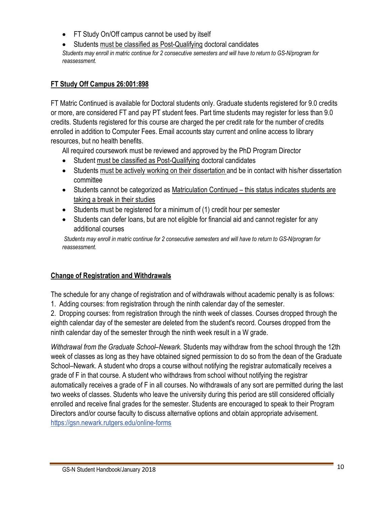• FT Study On/Off campus cannot be used by itself

• Students must be classified as Post-Qualifying doctoral candidates *Students may enroll in matric continue for 2 consecutive semesters and will have to return to GS-N/program for reassessment.*

#### **FT Study Off Campus 26:001:898**

FT Matric Continued is available for Doctoral students only. Graduate students registered for 9.0 credits or more, are considered FT and pay PT student fees. Part time students may register for less than 9.0 credits. Students registered for this course are charged the per credit rate for the number of credits enrolled in addition to Computer Fees. Email accounts stay current and online access to library resources, but no health benefits.

All required coursework must be reviewed and approved by the PhD Program Director

- Student must be classified as Post-Qualifying doctoral candidates
- Students must be actively working on their dissertation and be in contact with his/her dissertation committee
- Students cannot be categorized as Matriculation Continued this status indicates students are taking a break in their studies
- Students must be registered for a minimum of (1) credit hour per semester
- Students can defer loans, but are not eligible for financial aid and cannot register for any additional courses

*Students may enroll in matric continue for 2 consecutive semesters and will have to return to GS-N/program for reassessment.*

## **Change of Registration and Withdrawals**

The schedule for any change of registration and of withdrawals without academic penalty is as follows: 1. Adding courses: from registration through the ninth calendar day of the semester.

2. Dropping courses: from registration through the ninth week of classes. Courses dropped through the eighth calendar day of the semester are deleted from the student's record. Courses dropped from the ninth calendar day of the semester through the ninth week result in a W grade.

*Withdrawal from the Graduate School–Newark.* Students may withdraw from the school through the 12th week of classes as long as they have obtained signed permission to do so from the dean of the Graduate School–Newark. A student who drops a course without notifying the registrar automatically receives a grade of F in that course. A student who withdraws from school without notifying the registrar automatically receives a grade of F in all courses. No withdrawals of any sort are permitted during the last two weeks of classes. Students who leave the university during this period are still considered officially enrolled and receive final grades for the semester. Students are encouraged to speak to their Program Directors and/or course faculty to discuss alternative options and obtain appropriate advisement. <https://gsn.newark.rutgers.edu/online-forms>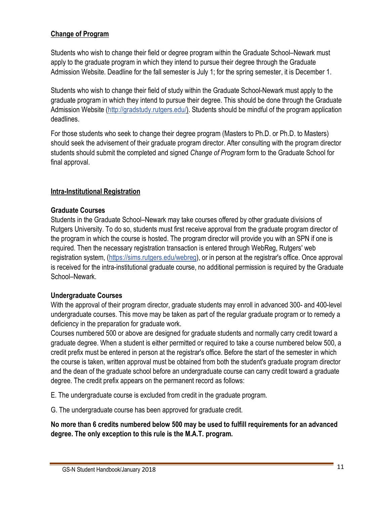### **Change of Program**

Students who wish to change their field or degree program within the Graduate School–Newark must apply to the graduate program in which they intend to pursue their degree through the Graduate Admission Website. Deadline for the fall semester is July 1; for the spring semester, it is December 1.

Students who wish to change their field of study within the Graduate School-Newark must apply to the graduate program in which they intend to pursue their degree. This should be done through the Graduate Admission Website ([http://gradstudy.rutgers.edu/\). Stu](http://gradstudy.rutgers.edu/)dents should be mindful of the program application deadlines.

For those students who seek to change their degree program (Masters to Ph.D. or Ph.D. to Masters) should seek the advisement of their graduate program director. After consulting with the program director students should submit the completed and signed *Change of Program* form to the Graduate School for final approval.

#### **Intra-Institutional Registration**

#### **Graduate Courses**

Students in the Graduate School–Newark may take courses offered by other graduate divisions of Rutgers University. To do so, students must first receive approval from the graduate program director of the program in which the course is hosted. The program director will provide you with an SPN if one is required. Then the necessary registration transaction is entered through WebReg, Rutgers' web registration system, [\(https://sims.rutgers.edu/webreg\), or](https://sims.rutgers.edu/webreg) in person at the registrar's office. Once approval is received for the intra-institutional graduate course, no additional permission is required by the Graduate School–Newark.

#### **Undergraduate Courses**

With the approval of their program director, graduate students may enroll in advanced 300- and 400-level undergraduate courses. This move may be taken as part of the regular graduate program or to remedy a deficiency in the preparation for graduate work.

Courses numbered 500 or above are designed for graduate students and normally carry credit toward a graduate degree. When a student is either permitted or required to take a course numbered below 500, a credit prefix must be entered in person at the registrar's office. Before the start of the semester in which the course is taken, written approval must be obtained from both the student's graduate program director and the dean of the graduate school before an undergraduate course can carry credit toward a graduate degree. The credit prefix appears on the permanent record as follows:

E. The undergraduate course is excluded from credit in the graduate program.

G. The undergraduate course has been approved for graduate credit.

#### **No more than 6 credits numbered below 500 may be used to fulfill requirements for an advanced degree. The only exception to this rule is the M.A.T. program.**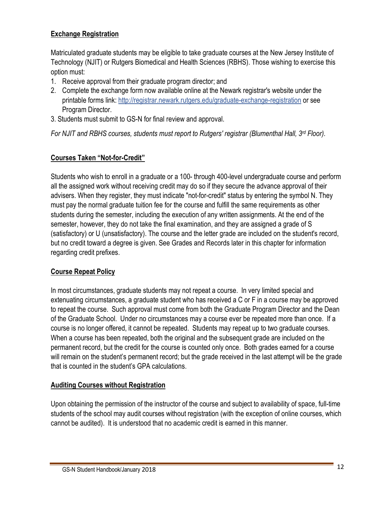### **Exchange Registration**

Matriculated graduate students may be eligible to take graduate courses at the New Jersey Institute of Technology (NJIT) or Rutgers Biomedical and Health Sciences (RBHS). Those wishing to exercise this option must:

- 1. Receive approval from their graduate program director; and
- 2. Complete the exchange form now available online at the Newark registrar's website under the printable forms link: <http://registrar.newark.rutgers.edu/graduate-exchange-registration> or see Program Director.
- 3. Students must submit to GS-N for final review and approval.

*For NJIT and RBHS courses, students must report to Rutgers' registrar (Blumenthal Hall, 3rd Floor).*

## **Courses Taken "Not-for-Credit"**

Students who wish to enroll in a graduate or a 100- through 400-level undergraduate course and perform all the assigned work without receiving credit may do so if they secure the advance approval of their advisers. When they register, they must indicate "not-for-credit" status by entering the symbol N. They must pay the normal graduate tuition fee for the course and fulfill the same requirements as other students during the semester, including the execution of any written assignments. At the end of the semester, however, they do not take the final examination, and they are assigned a grade of S (satisfactory) or U (unsatisfactory). The course and the letter grade are included on the student's record, but no credit toward a degree is given. See Grades and Records later in this chapter for information regarding credit prefixes.

### **Course Repeat Policy**

In most circumstances, graduate students may not repeat a course. In very limited special and extenuating circumstances, a graduate student who has received a C or F in a course may be approved to repeat the course. Such approval must come from both the Graduate Program Director and the Dean of the Graduate School. Under no circumstances may a course ever be repeated more than once. If a course is no longer offered, it cannot be repeated. Students may repeat up to two graduate courses. When a course has been repeated, both the original and the subsequent grade are included on the permanent record, but the credit for the course is counted only once. Both grades earned for a course will remain on the student's permanent record; but the grade received in the last attempt will be the grade that is counted in the student's GPA calculations.

#### **Auditing Courses without Registration**

Upon obtaining the permission of the instructor of the course and subject to availability of space, full-time students of the school may audit courses without registration (with the exception of online courses, which cannot be audited). It is understood that no academic credit is earned in this manner.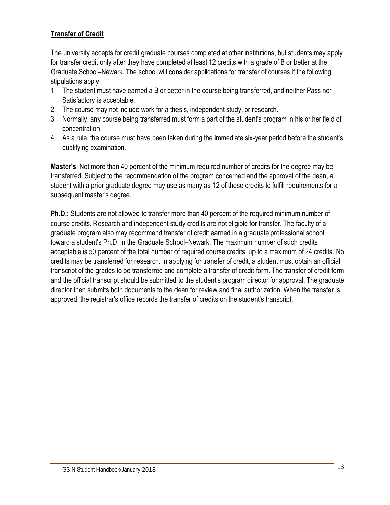### **Transfer of Credit**

The university accepts for credit graduate courses completed at other institutions, but students may apply for transfer credit only after they have completed at least 12 credits with a grade of B or better at the Graduate School–Newark. The school will consider applications for transfer of courses if the following stipulations apply:

- 1. The student must have earned a B or better in the course being transferred, and neither Pass nor Satisfactory is acceptable.
- 2. The course may not include work for a thesis, independent study, or research.
- 3. Normally, any course being transferred must form a part of the student's program in his or her field of concentration.
- 4. As a rule, the course must have been taken during the immediate six-year period before the student's qualifying examination.

**Master's**: Not more than 40 percent of the minimum required number of credits for the degree may be transferred. Subject to the recommendation of the program concerned and the approval of the dean, a student with a prior graduate degree may use as many as 12 of these credits to fulfill requirements for a subsequent master's degree.

**Ph.D.:** Students are not allowed to transfer more than 40 percent of the required minimum number of course credits. Research and independent study credits are not eligible for transfer. The faculty of a graduate program also may recommend transfer of credit earned in a graduate professional school toward a student's Ph.D. in the Graduate School–Newark. The maximum number of such credits acceptable is 50 percent of the total number of required course credits, up to a maximum of 24 credits. No credits may be transferred for research. In applying for transfer of credit, a student must obtain an official transcript of the grades to be transferred and complete a transfer of credit form. The transfer of credit form and the official transcript should be submitted to the student's program director for approval. The graduate director then submits both documents to the dean for review and final authorization. When the transfer is approved, the registrar's office records the transfer of credits on the student's transcript.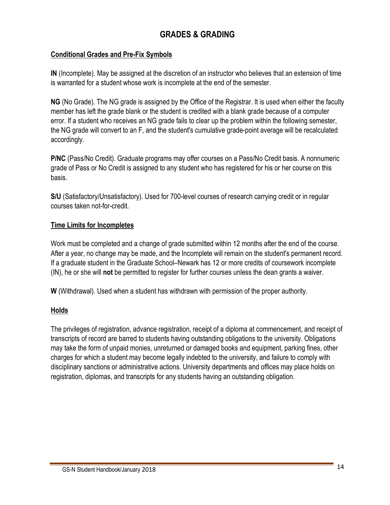# **GRADES & GRADING**

#### **Conditional Grades and Pre-Fix Symbols**

**IN** (Incomplete). May be assigned at the discretion of an instructor who believes that an extension of time is warranted for a student whose work is incomplete at the end of the semester.

**NG** (No Grade). The NG grade is assigned by the Office of the Registrar. It is used when either the faculty member has left the grade blank or the student is credited with a blank grade because of a computer error. If a student who receives an NG grade fails to clear up the problem within the following semester, the NG grade will convert to an F, and the student's cumulative grade-point average will be recalculated accordingly.

**P/NC** (Pass/No Credit). Graduate programs may offer courses on a Pass/No Credit basis. A nonnumeric grade of Pass or No Credit is assigned to any student who has registered for his or her course on this basis.

**S/U** (Satisfactory/Unsatisfactory). Used for 700-level courses of research carrying credit or in regular courses taken not-for-credit.

#### **Time Limits for Incompletes**

Work must be completed and a change of grade submitted within 12 months after the end of the course. After a year, no change may be made, and the Incomplete will remain on the student's permanent record. If a graduate student in the Graduate School–Newark has 12 or more credits of coursework incomplete (IN), he or she will **not** be permitted to register for further courses unless the dean grants a waiver.

**W** (Withdrawal). Used when a student has withdrawn with permission of the proper authority.

#### **Holds**

The privileges of registration, advance registration, receipt of a diploma at commencement, and receipt of transcripts of record are barred to students having outstanding obligations to the university. Obligations may take the form of unpaid monies, unreturned or damaged books and equipment, parking fines, other charges for which a student may become legally indebted to the university, and failure to comply with disciplinary sanctions or administrative actions. University departments and offices may place holds on registration, diplomas, and transcripts for any students having an outstanding obligation.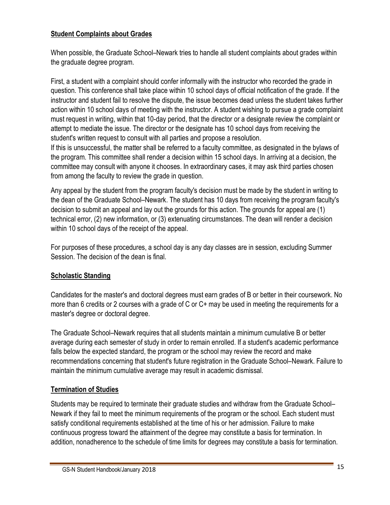#### **Student Complaints about Grades**

When possible, the Graduate School–Newark tries to handle all student complaints about grades within the graduate degree program.

First, a student with a complaint should confer informally with the instructor who recorded the grade in question. This conference shall take place within 10 school days of official notification of the grade. If the instructor and student fail to resolve the dispute, the issue becomes dead unless the student takes further action within 10 school days of meeting with the instructor. A student wishing to pursue a grade complaint must request in writing, within that 10-day period, that the director or a designate review the complaint or attempt to mediate the issue. The director or the designate has 10 school days from receiving the student's written request to consult with all parties and propose a resolution.

If this is unsuccessful, the matter shall be referred to a faculty committee, as designated in the bylaws of the program. This committee shall render a decision within 15 school days. In arriving at a decision, the committee may consult with anyone it chooses. In extraordinary cases, it may ask third parties chosen from among the faculty to review the grade in question.

Any appeal by the student from the program faculty's decision must be made by the student in writing to the dean of the Graduate School–Newark. The student has 10 days from receiving the program faculty's decision to submit an appeal and lay out the grounds for this action. The grounds for appeal are (1) technical error, (2) new information, or (3) extenuating circumstances. The dean will render a decision within 10 school days of the receipt of the appeal.

For purposes of these procedures, a school day is any day classes are in session, excluding Summer Session. The decision of the dean is final.

#### **Scholastic Standing**

Candidates for the master's and doctoral degrees must earn grades of B or better in their coursework. No more than 6 credits or 2 courses with a grade of C or C+ may be used in meeting the requirements for a master's degree or doctoral degree.

The Graduate School–Newark requires that all students maintain a minimum cumulative B or better average during each semester of study in order to remain enrolled. If a student's academic performance falls below the expected standard, the program or the school may review the record and make recommendations concerning that student's future registration in the Graduate School–Newark. Failure to maintain the minimum cumulative average may result in academic dismissal.

### **Termination of Studies**

Students may be required to terminate their graduate studies and withdraw from the Graduate School– Newark if they fail to meet the minimum requirements of the program or the school. Each student must satisfy conditional requirements established at the time of his or her admission. Failure to make continuous progress toward the attainment of the degree may constitute a basis for termination. In addition, nonadherence to the schedule of time limits for degrees may constitute a basis for termination.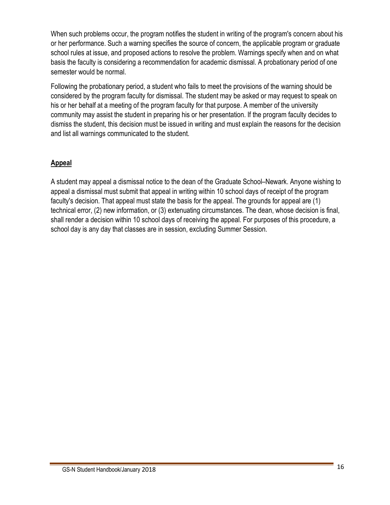When such problems occur, the program notifies the student in writing of the program's concern about his or her performance. Such a warning specifies the source of concern, the applicable program or graduate school rules at issue, and proposed actions to resolve the problem. Warnings specify when and on what basis the faculty is considering a recommendation for academic dismissal. A probationary period of one semester would be normal.

Following the probationary period, a student who fails to meet the provisions of the warning should be considered by the program faculty for dismissal. The student may be asked or may request to speak on his or her behalf at a meeting of the program faculty for that purpose. A member of the university community may assist the student in preparing his or her presentation. If the program faculty decides to dismiss the student, this decision must be issued in writing and must explain the reasons for the decision and list all warnings communicated to the student.

#### **Appeal**

A student may appeal a dismissal notice to the dean of the Graduate School–Newark. Anyone wishing to appeal a dismissal must submit that appeal in writing within 10 school days of receipt of the program faculty's decision. That appeal must state the basis for the appeal. The grounds for appeal are (1) technical error, (2) new information, or (3) extenuating circumstances. The dean, whose decision is final, shall render a decision within 10 school days of receiving the appeal. For purposes of this procedure, a school day is any day that classes are in session, excluding Summer Session.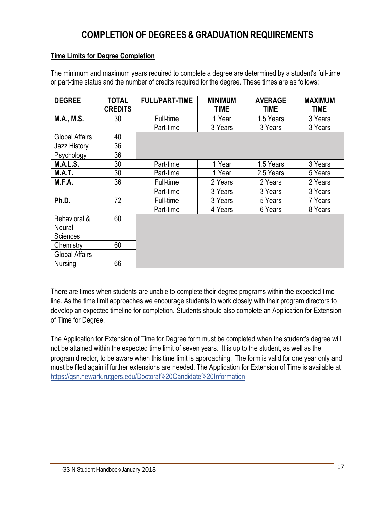# **COMPLETION OF DEGREES & GRADUATION REQUIREMENTS**

#### **Time Limits for Degree Completion**

The minimum and maximum years required to complete a degree are determined by a student's full-time or part-time status and the number of credits required for the degree. These times are as follows:

| <b>DEGREE</b>          | <b>TOTAL</b><br><b>CREDITS</b> | <b>FULL/PART-TIME</b> | <b>MINIMUM</b><br><b>TIME</b> | <b>AVERAGE</b><br>TIME | <b>MAXIMUM</b><br><b>TIME</b> |
|------------------------|--------------------------------|-----------------------|-------------------------------|------------------------|-------------------------------|
| <b>M.A., M.S.</b>      | 30                             | Full-time             | 1 Year                        | 1.5 Years              | 3 Years                       |
|                        |                                | Part-time             | 3 Years                       | 3 Years                | 3 Years                       |
| <b>Global Affairs</b>  | 40                             |                       |                               |                        |                               |
| <b>Jazz History</b>    | 36                             |                       |                               |                        |                               |
| Psychology             | 36                             |                       |                               |                        |                               |
| <b>M.A.L.S.</b>        | 30                             | Part-time             | 1 Year                        | 1.5 Years              | 3 Years                       |
| <b>M.A.T.</b>          | 30                             | Part-time             | 1 Year                        | 2.5 Years              | 5 Years                       |
| M.F.A.                 | 36                             | Full-time             | 2 Years                       | 2 Years                | 2 Years                       |
|                        |                                | Part-time             | 3 Years                       | 3 Years                | 3 Years                       |
| Ph.D.                  | 72                             | Full-time             | 3 Years                       | 5 Years                | 7 Years                       |
|                        |                                | Part-time             | 4 Years                       | 6 Years                | 8 Years                       |
| Behavioral &<br>Neural | 60                             |                       |                               |                        |                               |
| Sciences               |                                |                       |                               |                        |                               |
| Chemistry              | 60                             |                       |                               |                        |                               |
| <b>Global Affairs</b>  |                                |                       |                               |                        |                               |
| Nursing                | 66                             |                       |                               |                        |                               |

There are times when students are unable to complete their degree programs within the expected time line. As the time limit approaches we encourage students to work closely with their program directors to develop an expected timeline for completion. Students should also complete an Application for Extension of Time for Degree.

The Application for Extension of Time for Degree form must be completed when the student's degree will not be attained within the expected time limit of seven years. It is up to the student, as well as the program director, to be aware when this time limit is approaching. The form is valid for one year only and must be filed again if further extensions are needed. The Application for Extension of Time is available at <https://gsn.newark.rutgers.edu/Doctoral%20Candidate%20Information>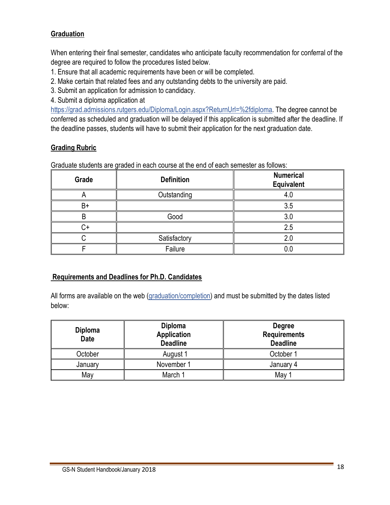#### **Graduation**

When entering their final semester, candidates who anticipate faculty recommendation for conferral of the degree are required to follow the procedures listed below.

- 1. Ensure that all academic requirements have been or will be completed.
- 2. Make certain that related fees and any outstanding debts to the university are paid.
- 3. Submit an application for admission to candidacy.
- 4. Submit a diploma application at

[https://grad.admissions.rutgers.edu/Diploma/Login.aspx?ReturnUrl=%2fdiploma. Th](https://grad.admissions.rutgers.edu/Diploma/Login.aspx?ReturnUrl=%2fdiploma)e degree cannot be conferred as scheduled and graduation will be delayed if this application is submitted after the deadline. If the deadline passes, students will have to submit their application for the next graduation date.

#### **Grading Rubric**

Graduate students are graded in each course at the end of each semester as follows:

| Grade | <b>Definition</b> | <b>Numerical</b><br><b>Equivalent</b> |  |
|-------|-------------------|---------------------------------------|--|
|       | Outstanding       | 4.U                                   |  |
| $B+$  |                   | 3.5                                   |  |
|       | Good              | 3.C                                   |  |
|       |                   | 2.5                                   |  |
|       | Satisfactory      | 2 <sub>1</sub>                        |  |
|       | Failure           |                                       |  |

#### **Requirements and Deadlines for Ph.D. Candidates**

All forms are available on the web (graduation/completion) and must be submitted by the dates listed below:

| Diploma<br><b>Date</b> | <b>Diploma</b><br><b>Application</b><br><b>Deadline</b> | <b>Degree</b><br><b>Requirements</b><br><b>Deadline</b> |  |
|------------------------|---------------------------------------------------------|---------------------------------------------------------|--|
| October                | August 1                                                | October 1                                               |  |
| January                | November 1                                              | January 4                                               |  |
| May                    | March 1                                                 | May                                                     |  |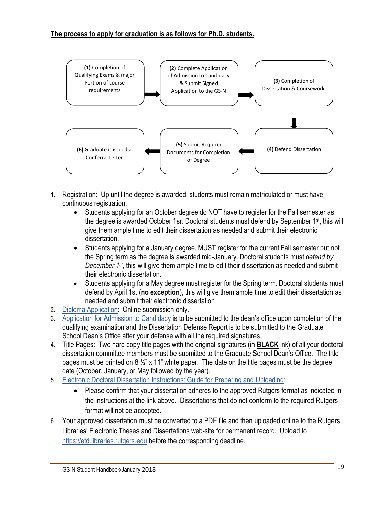#### **The process to apply for graduation is as follows for Ph.D. students.**



- 1. Registration: Up until the degree is awarded, students must remain matriculated or must have continuous registration.
	- Students applying for an October degree do NOT have to register for the Fall semester as the degree is awarded October 1sr. Doctoral students must defend by September 1st, this will give them ample time to edit their dissertation as needed and submit their electronic dissertation.
	- Students applying for a January degree, MUST register for the current Fall semester but not the Spring term as the degree is awarded mid-January. Doctoral students must *defend by December 1st*, this will give them ample time to edit their dissertation as needed and submit their electronic dissertation.
	- Students applying for a May degree must register for the Spring term. Doctoral students must defend by April 1st (**no exception**), this will give them ample time to edit their dissertation as needed and submit their electronic dissertation.
- 2. Diploma Application: Online submission only.
- 3. Application for Admission to Candidacy is to be submitted to the dean's office upon completion of the qualifying examination and the Dissertation Defense Report is to be submitted to the Graduate School Dean's Office after your defense with all the required signatures.
- 4. Title Pages: Two hard copy title pages with the original signatures (in **BLACK** ink) of all your doctoral dissertation committee members must be submitted to the Graduate School Dean's Office. The title pages must be printed on 8  $\frac{1}{2}$ " x 11" white paper. The date on the title pages must be the degree date (October, January, or May followed by the year).
- 5. Electronic Doctoral Dissertation Instructions: Guide for Preparing and Uploading:
	- Please confirm that your dissertation adheres to the approved Rutgers format as indicated in the instructions at the link above. Dissertations that do not conform to the required Rutgers format will not be accepted.
- 6. Your approved dissertation must be converted to a PDF file and then uploaded online to the Rutgers Libraries' Electronic Theses and Dissertations web-site for permanent record. Upload to <https://etd.libraries.rutgers.edu> before the corresponding deadline.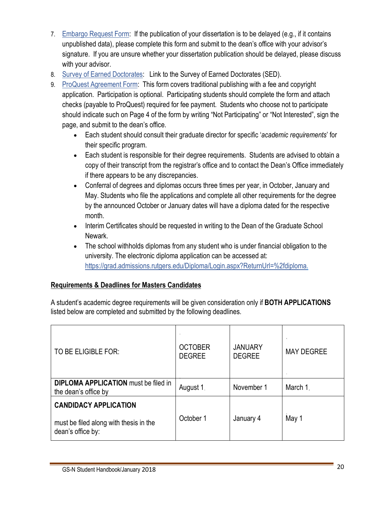- 7. Embargo Request Form: If the publication of your dissertation is to be delayed (e.g., if it contains unpublished data), please complete this form and submit to the dean's office with your advisor's signature. If you are unsure whether your dissertation publication should be delayed, please discuss with your advisor.
- 8. Survey of Earned Doctorates: Link to the Survey of Earned Doctorates (SED).
- 9. ProQuest Agreement Form: This form covers traditional publishing with a fee and copyright application. Participation is optional. Participating students should complete the form and attach checks (payable to ProQuest) required for fee payment. Students who choose not to participate should indicate such on Page 4 of the form by writing "Not Participating" or "Not Interested", sign the page, and submit to the dean's office.
	- Each student should consult their graduate director for specific '*academic requirements*' for their specific program.
	- Each student is responsible for their degree requirements. Students are advised to obtain a copy of their transcript from the registrar's office and to contact the Dean's Office immediately if there appears to be any discrepancies.
	- Conferral of degrees and diplomas occurs three times per year, in October, January and May. Students who file the applications and complete all other requirements for the degree by the announced October or January dates will have a diploma dated for the respective month.
	- Interim Certificates should be requested in writing to the Dean of the Graduate School Newark.
	- The school withholds diplomas from any student who is under financial obligation to the university. The electronic diploma application can be accessed at: [https://grad.admissions.rutgers.edu/Diploma/Login.aspx?ReturnUrl=%2fdiploma.](https://grad.admissions.rutgers.edu/Diploma/Login.aspx?ReturnUrl=%2fdiploma)

### **Requirements & Deadlines for Masters Candidates**

A student's academic degree requirements will be given consideration only if **BOTH APPLICATIONS**  listed below are completed and submitted by the following deadlines*.* 

| TO BE ELIGIBLE FOR:                                                 | <b>OCTOBER</b><br><b>DEGREE</b> | <b>JANUARY</b><br><b>DEGREE</b> | <b>MAY DEGREE</b> |
|---------------------------------------------------------------------|---------------------------------|---------------------------------|-------------------|
| <b>DIPLOMA APPLICATION</b> must be filed in<br>the dean's office by | August 1                        | November 1                      | March 1.          |
| <b>CANDIDACY APPLICATION</b>                                        |                                 |                                 |                   |
| must be filed along with thesis in the<br>dean's office by:         | October 1                       | January 4                       | May 1             |